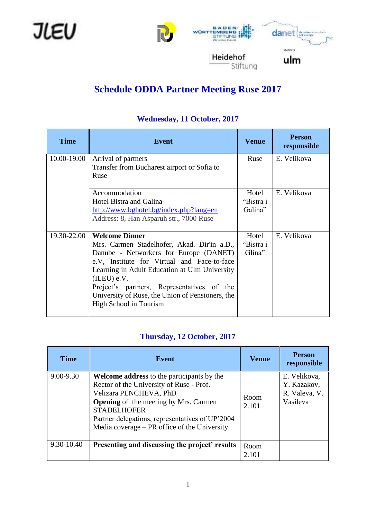





# **Schedule ODDA Partner Meeting Ruse 2017**

| <b>Time</b> | <b>Event</b>                                                                                                                                                                                                                                                                                                                                              | <b>Venue</b>                  | <b>Person</b><br>responsible |
|-------------|-----------------------------------------------------------------------------------------------------------------------------------------------------------------------------------------------------------------------------------------------------------------------------------------------------------------------------------------------------------|-------------------------------|------------------------------|
| 10.00-19.00 | Arrival of partners<br>Transfer from Bucharest airport or Sofia to<br>Ruse                                                                                                                                                                                                                                                                                | Ruse                          | E. Velikova                  |
|             | Accommodation<br><b>Hotel Bistra and Galina</b><br>http://www.bghotel.bg/index.php?lang=en<br>Address: 8, Han Asparuh str., 7000 Ruse                                                                                                                                                                                                                     | Hotel<br>"Bistra i<br>Galina" | E. Velikova                  |
| 19.30-22.00 | <b>Welcome Dinner</b><br>Mrs. Carmen Stadelhofer, Akad. Dir'in a.D.,<br>Danube - Networkers for Europe (DANET)<br>e.V, Institute for Virtual and Face-to-face<br>Learning in Adult Education at Ulm University<br>(ILEU) e.V.<br>Project's partners, Representatives of the<br>University of Ruse, the Union of Pensioners, the<br>High School in Tourism | Hotel<br>"Bistra i<br>Glina"  | E. Velikova                  |

#### **Wednesday, 11 October, 2017**

#### **Thursday, 12 October, 2017**

| <b>Time</b>   | Event                                                                                                                                                                                                                                                                                              | <b>Venue</b>  | <b>Person</b><br>responsible                             |
|---------------|----------------------------------------------------------------------------------------------------------------------------------------------------------------------------------------------------------------------------------------------------------------------------------------------------|---------------|----------------------------------------------------------|
| $9.00 - 9.30$ | <b>Welcome address to the participants by the</b><br>Rector of the University of Ruse - Prof.<br>Velizara PENCHEVA, PhD<br><b>Opening</b> of the meeting by Mrs. Carmen<br><b>STADELHOFER</b><br>Partner delegations, representatives of UP'2004<br>Media coverage $-$ PR office of the University | Room<br>2.101 | E. Velikova,<br>Y. Kazakov,<br>R. Valeva, V.<br>Vasileva |
| 9.30-10.40    | Presenting and discussing the project' results                                                                                                                                                                                                                                                     | Room<br>2.101 |                                                          |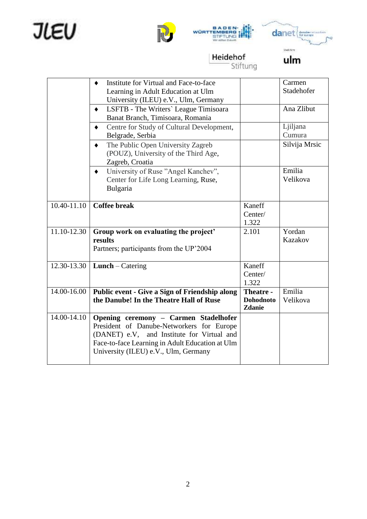







Heidehof<br>Stiftung

ulm

|             | Institute for Virtual and Face-to-face                   |                  | Carmen        |
|-------------|----------------------------------------------------------|------------------|---------------|
|             | Learning in Adult Education at Ulm                       |                  | Stadehofer    |
|             | University (ILEU) e.V., Ulm, Germany                     |                  |               |
|             | LSFTB - The Writers' League Timisoara<br>$\blacklozenge$ |                  | Ana Zlibut    |
|             | Banat Branch, Timisoara, Romania                         |                  |               |
|             | Centre for Study of Cultural Development,                |                  | Ljiljana      |
|             | Belgrade, Serbia                                         |                  | Cumura        |
|             | The Public Open University Zagreb<br>٠                   |                  | Silvija Mrsic |
|             | (POUZ), University of the Third Age,                     |                  |               |
|             | Zagreb, Croatia                                          |                  |               |
|             | University of Ruse "Angel Kanchev",<br>$\bullet$         |                  | Emilia        |
|             | Center for Life Long Learning, Ruse,                     |                  | Velikova      |
|             | Bulgaria                                                 |                  |               |
|             |                                                          |                  |               |
| 10.40-11.10 | <b>Coffee break</b>                                      | Kaneff           |               |
|             |                                                          | Center/          |               |
| 11.10-12.30 |                                                          | 1.322            | Yordan        |
|             | Group work on evaluating the project'<br>results         | 2.101            | Kazakov       |
|             | Partners; participants from the UP'2004                  |                  |               |
|             |                                                          |                  |               |
| 12.30-13.30 | <b>Lunch</b> – Catering                                  | Kaneff           |               |
|             |                                                          | Center/          |               |
|             |                                                          | 1.322            |               |
| 14.00-16.00 | Public event - Give a Sign of Friendship along           | Theatre -        | Emilia        |
|             | the Danube! In the Theatre Hall of Ruse                  | <b>Dohodnoto</b> | Velikova      |
|             |                                                          | Zdanie           |               |
| 14.00-14.10 | Opening ceremony - Carmen Stadelhofer                    |                  |               |
|             | President of Danube-Networkers for Europe                |                  |               |
|             | (DANET) e.V, and Institute for Virtual and               |                  |               |
|             | Face-to-face Learning in Adult Education at Ulm          |                  |               |
|             | University (ILEU) e.V., Ulm, Germany                     |                  |               |
|             |                                                          |                  |               |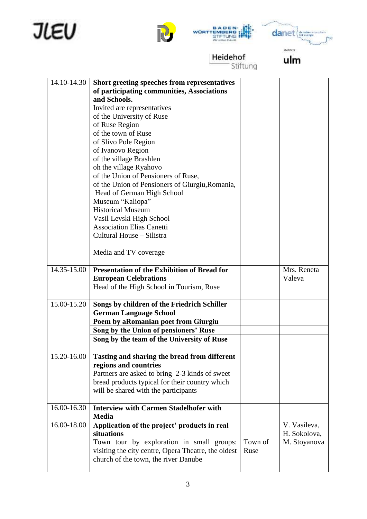







Heidehof<br>Stiftung

ulm

| 14.10-14.30 | Short greeting speeches from representatives        |         |              |
|-------------|-----------------------------------------------------|---------|--------------|
|             | of participating communities, Associations          |         |              |
|             | and Schools.                                        |         |              |
|             | Invited are representatives                         |         |              |
|             | of the University of Ruse                           |         |              |
|             | of Ruse Region                                      |         |              |
|             | of the town of Ruse                                 |         |              |
|             | of Slivo Pole Region                                |         |              |
|             | of Ivanovo Region                                   |         |              |
|             | of the village Brashlen                             |         |              |
|             | oh the village Ryahovo                              |         |              |
|             | of the Union of Pensioners of Ruse,                 |         |              |
|             | of the Union of Pensioners of Giurgiu, Romania,     |         |              |
|             | Head of German High School                          |         |              |
|             | Museum "Kaliopa"                                    |         |              |
|             | <b>Historical Museum</b>                            |         |              |
|             | Vasil Levski High School                            |         |              |
|             | <b>Association Elias Canetti</b>                    |         |              |
|             | Cultural House – Silistra                           |         |              |
|             |                                                     |         |              |
|             | Media and TV coverage                               |         |              |
|             |                                                     |         |              |
| 14.35-15.00 | <b>Presentation of the Exhibition of Bread for</b>  |         | Mrs. Reneta  |
|             | <b>European Celebrations</b>                        |         | Valeva       |
|             | Head of the High School in Tourism, Ruse            |         |              |
|             |                                                     |         |              |
| 15.00-15.20 | Songs by children of the Friedrich Schiller         |         |              |
|             | <b>German Language School</b>                       |         |              |
|             | Poem by aRomanian poet from Giurgiu                 |         |              |
|             | Song by the Union of pensioners' Ruse               |         |              |
|             | Song by the team of the University of Ruse          |         |              |
|             |                                                     |         |              |
| 15.20-16.00 | Tasting and sharing the bread from different        |         |              |
|             | regions and countries                               |         |              |
|             | Partners are asked to bring 2-3 kinds of sweet      |         |              |
|             | bread products typical for their country which      |         |              |
|             | will be shared with the participants                |         |              |
|             |                                                     |         |              |
| 16.00-16.30 | <b>Interview with Carmen Stadelhofer with</b>       |         |              |
|             | <b>Media</b>                                        |         |              |
| 16.00-18.00 | Application of the project' products in real        |         | V. Vasileva, |
|             | situations                                          |         | H. Sokolova, |
|             | Town tour by exploration in small groups:           | Town of | M. Stoyanova |
|             | visiting the city centre, Opera Theatre, the oldest | Ruse    |              |
|             | church of the town, the river Danube                |         |              |
|             |                                                     |         |              |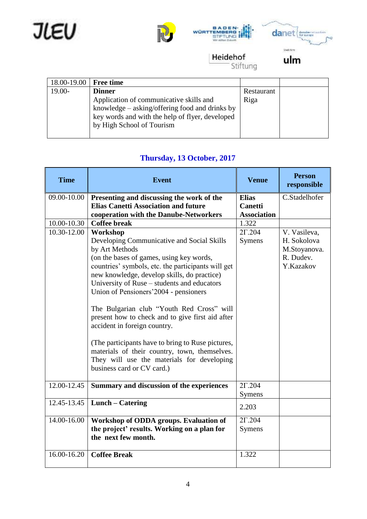







Heidehof

Stiftung

ulm

| 18.00-19.00 | <b>Free time</b>                                |            |  |
|-------------|-------------------------------------------------|------------|--|
| $19.00-$    | <b>Dinner</b>                                   | Restaurant |  |
|             | Application of communicative skills and         | Riga       |  |
|             | knowledge – asking/offering food and drinks by  |            |  |
|             | key words and with the help of flyer, developed |            |  |
|             | by High School of Tourism                       |            |  |
|             |                                                 |            |  |

#### **Thursday, 13 October, 2017**

| <b>Time</b>     | <b>Event</b>                                                                                                                                                                                                                                                                                                                                                                                                                                                                                                                                                                                                                          | <b>Venue</b>                                         | <b>Person</b><br>responsible                                          |
|-----------------|---------------------------------------------------------------------------------------------------------------------------------------------------------------------------------------------------------------------------------------------------------------------------------------------------------------------------------------------------------------------------------------------------------------------------------------------------------------------------------------------------------------------------------------------------------------------------------------------------------------------------------------|------------------------------------------------------|-----------------------------------------------------------------------|
| 09.00-10.00     | Presenting and discussing the work of the<br><b>Elias Canetti Association and future</b><br>cooperation with the Danube-Networkers                                                                                                                                                                                                                                                                                                                                                                                                                                                                                                    | <b>Elias</b><br><b>Canetti</b><br><b>Association</b> | C.Stadelhofer                                                         |
| 10.00-10.30     | <b>Coffee break</b>                                                                                                                                                                                                                                                                                                                                                                                                                                                                                                                                                                                                                   | 1.322                                                |                                                                       |
| 10.30-12.00     | Workshop<br>Developing Communicative and Social Skills<br>by Art Methods<br>(on the bases of games, using key words,<br>countries' symbols, etc. the participants will get<br>new knowledge, develop skills, do practice)<br>University of Ruse – students and educators<br>Union of Pensioners' 2004 - pensioners<br>The Bulgarian club "Youth Red Cross" will<br>present how to check and to give first aid after<br>accident in foreign country.<br>(The participants have to bring to Ruse pictures,<br>materials of their country, town, themselves.<br>They will use the materials for developing<br>business card or CV card.) | $2\Gamma.204$<br>Symens                              | V. Vasileva,<br>H. Sokolova<br>M.Stoyanova.<br>R. Dudev.<br>Y.Kazakov |
| $12.00 - 12.45$ | Summary and discussion of the experiences                                                                                                                                                                                                                                                                                                                                                                                                                                                                                                                                                                                             | $2\Gamma$ .204<br>Symens                             |                                                                       |
| 12.45-13.45     | Lunch – Catering                                                                                                                                                                                                                                                                                                                                                                                                                                                                                                                                                                                                                      | 2.203                                                |                                                                       |
| 14.00-16.00     | Workshop of ODDA groups. Evaluation of<br>the project' results. Working on a plan for<br>the next few month.                                                                                                                                                                                                                                                                                                                                                                                                                                                                                                                          | $2\Gamma$ .204<br>Symens                             |                                                                       |
| 16.00-16.20     | <b>Coffee Break</b>                                                                                                                                                                                                                                                                                                                                                                                                                                                                                                                                                                                                                   | 1.322                                                |                                                                       |